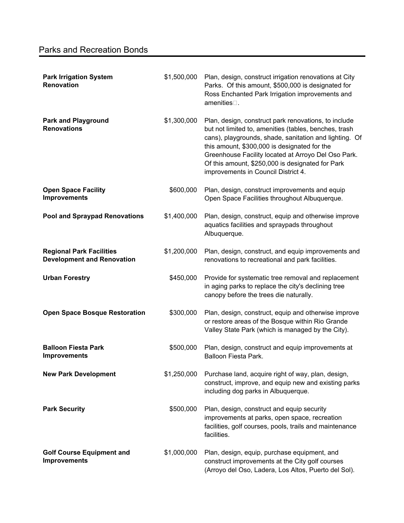| <b>Park Irrigation System</b><br>Renovation                          | \$1,500,000 | Plan, design, construct irrigation renovations at City<br>Parks. Of this amount, \$500,000 is designated for<br>Ross Enchanted Park Irrigation improvements and<br>amenities $\square$ .                                                                                                                                                                                  |
|----------------------------------------------------------------------|-------------|---------------------------------------------------------------------------------------------------------------------------------------------------------------------------------------------------------------------------------------------------------------------------------------------------------------------------------------------------------------------------|
| <b>Park and Playground</b><br><b>Renovations</b>                     | \$1,300,000 | Plan, design, construct park renovations, to include<br>but not limited to, amenities (tables, benches, trash<br>cans), playgrounds, shade, sanitation and lighting. Of<br>this amount, \$300,000 is designated for the<br>Greenhouse Facility located at Arroyo Del Oso Park.<br>Of this amount, \$250,000 is designated for Park<br>improvements in Council District 4. |
| <b>Open Space Facility</b><br><b>Improvements</b>                    | \$600,000   | Plan, design, construct improvements and equip<br>Open Space Facilities throughout Albuquerque.                                                                                                                                                                                                                                                                           |
| <b>Pool and Spraypad Renovations</b>                                 | \$1,400,000 | Plan, design, construct, equip and otherwise improve<br>aquatics facilities and spraypads throughout<br>Albuquerque.                                                                                                                                                                                                                                                      |
| <b>Regional Park Facilities</b><br><b>Development and Renovation</b> | \$1,200,000 | Plan, design, construct, and equip improvements and<br>renovations to recreational and park facilities.                                                                                                                                                                                                                                                                   |
| <b>Urban Forestry</b>                                                | \$450,000   | Provide for systematic tree removal and replacement<br>in aging parks to replace the city's declining tree<br>canopy before the trees die naturally.                                                                                                                                                                                                                      |
| <b>Open Space Bosque Restoration</b>                                 | \$300,000   | Plan, design, construct, equip and otherwise improve<br>or restore areas of the Bosque within Rio Grande<br>Valley State Park (which is managed by the City).                                                                                                                                                                                                             |
| <b>Balloon Fiesta Park</b><br><b>Improvements</b>                    | \$500,000   | Plan, design, construct and equip improvements at<br>Balloon Fiesta Park.                                                                                                                                                                                                                                                                                                 |
| <b>New Park Development</b>                                          | \$1,250,000 | Purchase land, acquire right of way, plan, design,<br>construct, improve, and equip new and existing parks<br>including dog parks in Albuquerque.                                                                                                                                                                                                                         |
| <b>Park Security</b>                                                 | \$500,000   | Plan, design, construct and equip security<br>improvements at parks, open space, recreation<br>facilities, golf courses, pools, trails and maintenance<br>facilities.                                                                                                                                                                                                     |
| <b>Golf Course Equipment and</b><br><b>Improvements</b>              | \$1,000,000 | Plan, design, equip, purchase equipment, and<br>construct improvements at the City golf courses<br>(Arroyo del Oso, Ladera, Los Altos, Puerto del Sol).                                                                                                                                                                                                                   |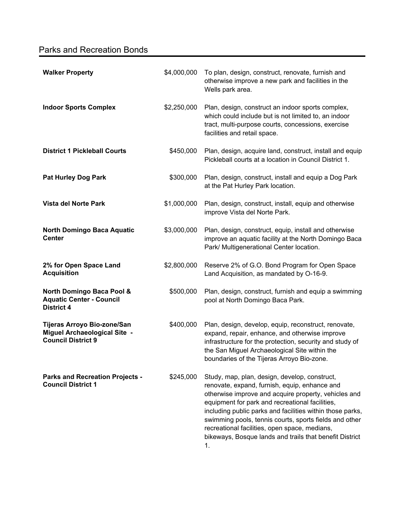## Parks and Recreation Bonds

| <b>Walker Property</b>                                                                          | \$4,000,000 | To plan, design, construct, renovate, furnish and<br>otherwise improve a new park and facilities in the<br>Wells park area.                                                                                                                                                                                                                                                                                                                        |
|-------------------------------------------------------------------------------------------------|-------------|----------------------------------------------------------------------------------------------------------------------------------------------------------------------------------------------------------------------------------------------------------------------------------------------------------------------------------------------------------------------------------------------------------------------------------------------------|
| <b>Indoor Sports Complex</b>                                                                    | \$2,250,000 | Plan, design, construct an indoor sports complex,<br>which could include but is not limited to, an indoor<br>tract, multi-purpose courts, concessions, exercise<br>facilities and retail space.                                                                                                                                                                                                                                                    |
| <b>District 1 Pickleball Courts</b>                                                             | \$450,000   | Plan, design, acquire land, construct, install and equip<br>Pickleball courts at a location in Council District 1.                                                                                                                                                                                                                                                                                                                                 |
| <b>Pat Hurley Dog Park</b>                                                                      | \$300,000   | Plan, design, construct, install and equip a Dog Park<br>at the Pat Hurley Park location.                                                                                                                                                                                                                                                                                                                                                          |
| <b>Vista del Norte Park</b>                                                                     | \$1,000,000 | Plan, design, construct, install, equip and otherwise<br>improve Vista del Norte Park.                                                                                                                                                                                                                                                                                                                                                             |
| <b>North Domingo Baca Aquatic</b><br><b>Center</b>                                              | \$3,000,000 | Plan, design, construct, equip, install and otherwise<br>improve an aquatic facility at the North Domingo Baca<br>Park/ Multigenerational Center location.                                                                                                                                                                                                                                                                                         |
| 2% for Open Space Land<br><b>Acquisition</b>                                                    | \$2,800,000 | Reserve 2% of G.O. Bond Program for Open Space<br>Land Acquisition, as mandated by O-16-9.                                                                                                                                                                                                                                                                                                                                                         |
| <b>North Domingo Baca Pool &amp;</b><br><b>Aquatic Center - Council</b><br><b>District 4</b>    | \$500,000   | Plan, design, construct, furnish and equip a swimming<br>pool at North Domingo Baca Park.                                                                                                                                                                                                                                                                                                                                                          |
| Tijeras Arroyo Bio-zone/San<br><b>Miguel Archaeological Site -</b><br><b>Council District 9</b> | \$400,000   | Plan, design, develop, equip, reconstruct, renovate,<br>expand, repair, enhance, and otherwise improve<br>infrastructure for the protection, security and study of<br>the San Miguel Archaeological Site within the<br>boundaries of the Tijeras Arroyo Bio-zone.                                                                                                                                                                                  |
| <b>Parks and Recreation Projects -</b><br><b>Council District 1</b>                             | \$245,000   | Study, map, plan, design, develop, construct,<br>renovate, expand, furnish, equip, enhance and<br>otherwise improve and acquire property, vehicles and<br>equipment for park and recreational facilities,<br>including public parks and facilities within those parks,<br>swimming pools, tennis courts, sports fields and other<br>recreational facilities, open space, medians,<br>bikeways, Bosque lands and trails that benefit District<br>1. |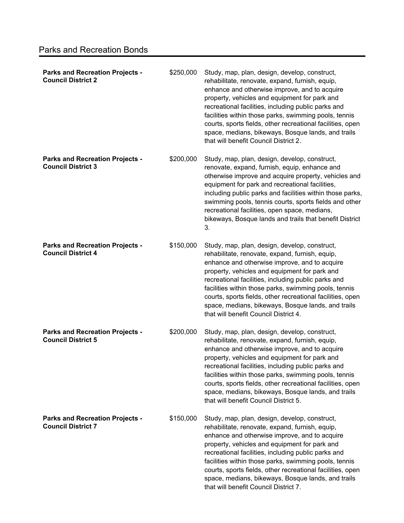| <b>Parks and Recreation Projects -</b><br><b>Council District 2</b> | \$250,000 | Study, map, plan, design, develop, construct,<br>rehabilitate, renovate, expand, furnish, equip,<br>enhance and otherwise improve, and to acquire<br>property, vehicles and equipment for park and<br>recreational facilities, including public parks and<br>facilities within those parks, swimming pools, tennis<br>courts, sports fields, other recreational facilities, open<br>space, medians, bikeways, Bosque lands, and trails<br>that will benefit Council District 2. |
|---------------------------------------------------------------------|-----------|---------------------------------------------------------------------------------------------------------------------------------------------------------------------------------------------------------------------------------------------------------------------------------------------------------------------------------------------------------------------------------------------------------------------------------------------------------------------------------|
| <b>Parks and Recreation Projects -</b><br><b>Council District 3</b> | \$200,000 | Study, map, plan, design, develop, construct,<br>renovate, expand, furnish, equip, enhance and<br>otherwise improve and acquire property, vehicles and<br>equipment for park and recreational facilities,<br>including public parks and facilities within those parks,<br>swimming pools, tennis courts, sports fields and other<br>recreational facilities, open space, medians,<br>bikeways, Bosque lands and trails that benefit District<br>3.                              |
| <b>Parks and Recreation Projects -</b><br><b>Council District 4</b> | \$150,000 | Study, map, plan, design, develop, construct,<br>rehabilitate, renovate, expand, furnish, equip,<br>enhance and otherwise improve, and to acquire<br>property, vehicles and equipment for park and<br>recreational facilities, including public parks and<br>facilities within those parks, swimming pools, tennis<br>courts, sports fields, other recreational facilities, open<br>space, medians, bikeways, Bosque lands, and trails<br>that will benefit Council District 4. |
| <b>Parks and Recreation Projects -</b><br><b>Council District 5</b> | \$200,000 | Study, map, plan, design, develop, construct,<br>rehabilitate, renovate, expand, furnish, equip,<br>enhance and otherwise improve, and to acquire<br>property, vehicles and equipment for park and<br>recreational facilities, including public parks and<br>facilities within those parks, swimming pools, tennis<br>courts, sports fields, other recreational facilities, open<br>space, medians, bikeways, Bosque lands, and trails<br>that will benefit Council District 5. |
| <b>Parks and Recreation Projects -</b><br><b>Council District 7</b> | \$150,000 | Study, map, plan, design, develop, construct,<br>rehabilitate, renovate, expand, furnish, equip,<br>enhance and otherwise improve, and to acquire<br>property, vehicles and equipment for park and<br>recreational facilities, including public parks and<br>facilities within those parks, swimming pools, tennis<br>courts, sports fields, other recreational facilities, open<br>space, medians, bikeways, Bosque lands, and trails<br>that will benefit Council District 7. |